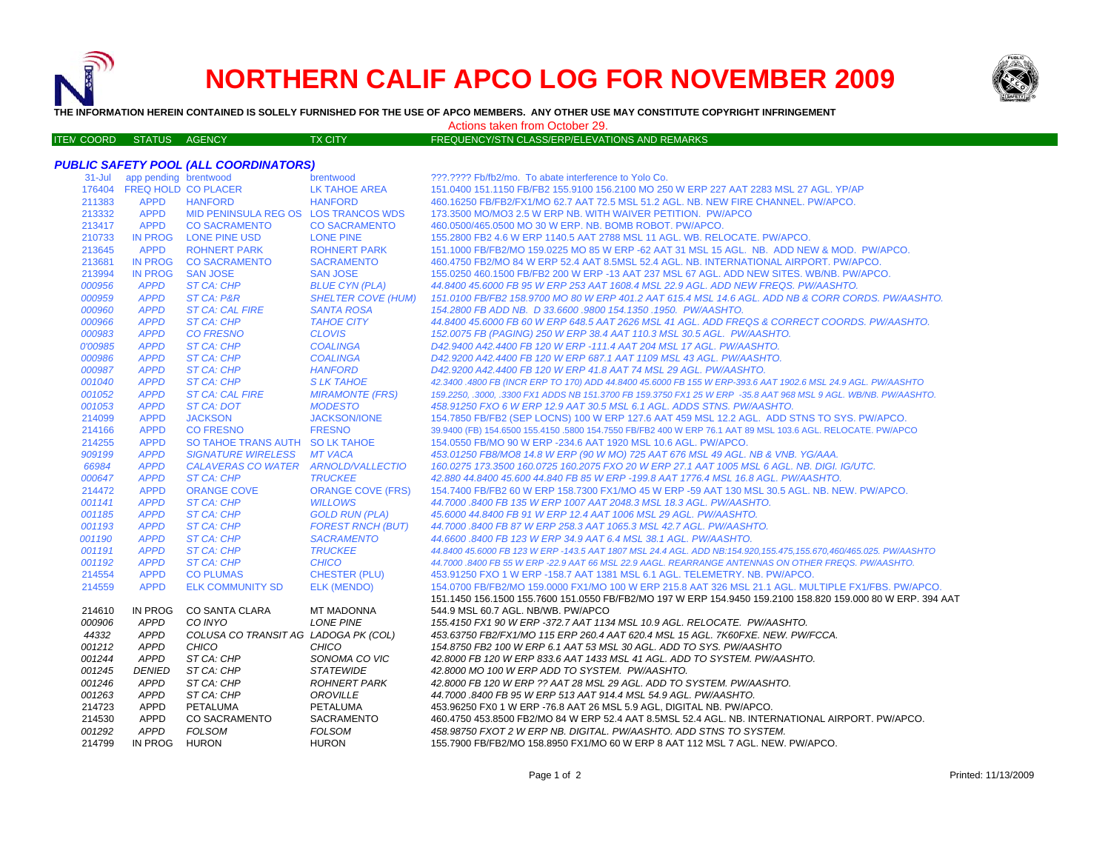

ITEM

# **NORTHERN CALIF APCO LOG FOR NOVEMBER 2009**



**THE INFORMATION HEREIN CONTAINED IS SOLELY FURNISHED FOR THE USE OF APCO MEMBERS. ANY OTHER USE MAY CONSTITUTE COPYRIGHT INFRINGEMENT**

Actions taken from October 29.

TX CITY **EXAMPLE STATES AGENCY FREQUENCY/STN CLASS/ERP/ELEVATIONS AND REMARKS** 

### *PUBLIC SAFETY POOL (ALL COORDINATORS)* brentwood **brentwood bread app per perfect bread as a 2**???.???? Fb/fb2/mo. To abate interference to Yolo Co. FREQ HOLD CO PLACER LK TAHOE AREA 151.0400 151.1150 FB/FB2 155.9100 156.2100 MO 250 W ERP 227 AAT 2283 MSL 27 AGL. YP/AP APPD HANFORD HANFORD 460.16250 FB/FB2/FX1/MO 62.7 AAT 72.5 MSL 51.2 AGL. NB. NEW FIRE CHANNEL. PW/APCO. APPD MID PENINSULA REG OS LOS TRANCOS WDS 173.3500 MO/MO3 2.5 W ERP NB. WITH WAIVER PETITION. PW/APCO APPD CO SACRAMENTO CO SACRAMENTO 460.0500/465.0500 MO 30 W ERP. NB. BOMB ROBOT. PW/APCO. IN PROG LONE PINE USD LONE PINE 155.2800 FB2 4.6 W ERP 1140.5 AAT 2788 MSL 11 AGL. WB. RELOCATE. PW/APCO. APPD ROHNERT PARK ROHNERT PARK 151.1000 FB/FB2/MO 159.0225 MO 85 W ERP -62 AAT 31 MSL 15 AGL. NB. ADD NEW & MOD. PW/APCO. IN PROG CO SACRAMENTO SACRAMENTO 460.4750 FB2/MO 84 W ERP 52.4 AAT 8.5MSL 52.4 AGL. NB. INTERNATIONAL AIRPORT. PW/APCO. IN PROG SAN JOSE SAN JOSE 155.0250 460.1500 FB/FB2 200 W ERP -13 AAT 237 MSL 67 AGL. ADD NEW SITES. WB/NB. PW/APCO.  *APPD ST CA: CHP BLUE CYN (PLA) 44.8400 45.6000 FB 95 W ERP 253 AAT 1608.4 MSL 22.9 AGL. ADD NEW FREQS. PW/AASHTO. APPD ST CA: P&R SHELTER COVE (HUM) 151.0100 FB/FB2 158.9700 MO 80 W ERP 401.2 AAT 615.4 MSL 14.6 AGL. ADD NB & CORR CORDS. PW/AASHTO. APPD ST CA: CAL FIRE SANTA ROSA 154.2800 FB ADD NB. D 33.6600 .9800 154.1350 .1950. PW/AASHTO. APPD ST CA: CHP TAHOE CITY 44.8400 45.6000 FB 60 W ERP 648.5 AAT 2626 MSL 41 AGL. ADD FREQS & CORRECT COORDS. PW/AASHTO. APPD CO FRESNO CLOVIS 152.0075 FB (PAGING) 250 W ERP 38.4 AAT 110.3 MSL 30.5 AGL. PW/AASHTO. 0'00985 APPD ST CA: CHP COALINGA D42.9400 A42.4400 FB 120 W ERP -111.4 AAT 204 MSL 17 AGL. PW/AASHTO. APPD ST CA: CHP COALINGA D42.9200 A42.4400 FB 120 W ERP 687.1 AAT 1109 MSL 43 AGL. PW/AASHTO. APPD ST CA: CHP HANFORD D42.9200 A42.4400 FB 120 W ERP 41.8 AAT 74 MSL 29 AGL. PW/AASHTO. APPD ST CA: CHP S LK TAHOE 42.3400 .4800 FB (INCR ERP TO 170) ADD 44.8400 45.6000 FB 155 W ERP-393.6 AAT 1902.6 MSL 24.9 AGL. PW/AASHTO APPD ST CA: CAL FIRE MIRAMONTE (FRS) 159.2250, .3000, .3300 FX1 ADDS NB 151.3700 FB 159.3750 FX1 25 W ERP -35.8 AAT 968 MSL 9 AGL. WB/NB. PW/AASHTO. APPD ST CA: DOT MODESTO 458.91250 FXO 6 W ERP 12.9 AAT 30.5 MSL 6.1 AGL. ADDS STNS. PW/AASHTO.* APPD JACKSON JACKSON/IONE 154.7850 FB/FB2 (SEP LOCNS) 100 W ERP 127.6 AAT 459 MSL 12.2 AGL. ADD STNS TO SYS. PW/APCO. APPD CO FRESNO FRESNO39.9400 (FB) 154.6500 155.4150 .5800 154.7550 FB/FB2 400 W ERP 76.1 AAT 89 MSL 103.6 AGL. RELOCATE. PW/APCO<br>30 TAHOE TRANS AUTH SO LK TAHOE 154.0550 FB/MO 90 W ERP -234.6 AAT 1920 MSL 10.6 AGL. PW/APCO. APPD SO TAHOE TRANS AUTH SO LK TAHOE 154.0550 FB/MO 90 W ERP -234.6 AAT 1920 MSL 10.6 AGL. PW/APCO.  *APPD SIGNATURE WIRELESS MT VACA 453.01250 FB8/MO8 14.8 W ERP (90 W MO) 725 AAT 676 MSL 49 AGL. NB & VNB. YG/AAA. APPD CALAVERAS CO WATER ARNOLD/VALLECTIO 160.0275 173.3500 160.0725 160.2075 FXO 20 W ERP 27.1 AAT 1005 MSL 6 AGL. NB. DIGI. IG/UTC. APPD ST CA: CHP TRUCKEE 42.880 44.8400 45.600 44.840 FB 85 W ERP -199.8 AAT 1776.4 MSL 16.8 AGL. PW/AASHTO.*214472 APPD ORANGE COVE ORANGE COVE (FRS) 154.7400 FB/FB2 60 W ERP 158.7300 FX1/MO 45 W ERP -59 AAT 130 MSL 30.5 AGL. NB. NEW. PW/APCO.<br>001141 APPD ST CA: CHP WILLOWS 44.7000 .8400 FB 135 W ERP 1007 AAT 2048.3 MSL 18.3 AGL  *APPD ST CA: CHP WILLOWS 44.7000 .8400 FB 135 W ERP 1007 AAT 2048.3 MSL 18.3 AGL. PW/AASHTO. APPD ST CA: CHP GOLD RUN (PLA) 45.6000 44.8400 FB 91 W ERP 12.4 AAT 1006 MSL 29 AGL. PW/AASHTO. APPD ST CA: CHP FOREST RNCH (BUT) 44.7000 .8400 FB 87 W ERP 258.3 AAT 1065.3 MSL 42.7 AGL. PW/AASHTO. 001190 APPD ST CA: CHP SACRAMENTO 44.6600 .8400 FB 123 W ERP 34.9 AAT 6.4 MSL 38.1 AGL. PW/AASHTO. 44.8400 45.6000 FB 123 W ERP -143.5 AAT 1807 MSL 24.4 AGL. ADD NB:154.920,155.475,155.670,460/465.025. PW/AASHTO APPD ST CA: CHP TRUCKEE APPD ST CA: CHP CHICO 44.7000 .8400 FB 55 W ERP -22.9 AAT 66 MSL 22.9 AAGL. REARRANGE ANTENNAS ON OTHER FREQS. PW/AASHTO.* APPD CO PLUMAS CHESTER (PLU) 453.91250 FXO 1 W ERP -158.7 AAT 1381 MSL 6.1 AGL. TELEMETRY. NB. PW/APCO. APPD ELK COMMUNITY SD ELK (MENDO) 154.0700 FB/FB2/MO 159.0000 FX1/MO 100 W ERP 215.8 AAT 326 MSL 21.1 AGL. MULTIPLE FX1/FBS. PW/APCO. IN PROG CO SANTA CLARA MT MADONNA151.1450 156.1500 155.7600 151.0550 FB/FB2/MO 197 W ERP 154.9450 159.2100 158.820 159.000 80 W ERP. 394 AAT 544.9 MSL 60.7 AGL. NB/WB. PW/APCO *APPD CO INYO LONE PINE 155.4150 FX1 90 W ERP -372.7 AAT 1134 MSL 10.9 AGL. RELOCATE. PW/AASHTO. APPD COLUSA CO TRANSIT AG LADOGA PK (COL) 453.63750 FB2/FX1/MO 115 ERP 260.4 AAT 620.4 MSL 15 AGL. 7K60FXE. NEW. PW/FCCA. APPD CHICO CHICO 154.8750 FB2 100 W ERP 6.1 AAT 53 MSL 30 AGL. ADD TO SYS. PW/AASHTO APPD ST CA: CHP SONOMA CO VIC 42.8000 FB 120 W ERP 833.6 AAT 1433 MSL 41 AGL. ADD TO SYSTEM. PW/AASHTO. DENIED ST CA: CHP STATEWIDE 42.8000 MO 100 W ERP ADD TO SYSTEM. PW/AASHTO. APPD ST CA: CHP ROHNERT PARK 42.8000 FB 120 W ERP ?? AAT 28 MSL 29 AGL. ADD TO SYSTEM. PW/AASHTO. APPD ST CA: CHP OROVILLE 44.7000 .8400 FB 95 W ERP 513 AAT 914.4 MSL 54.9 AGL. PW/AASHTO.* APPD PETALUMA PETALUMA 453.96250 FX0 1 W ERP -76.8 AAT 26 MSL 5.9 AGL, DIGITAL NB. PW/APCO. APPD CO SACRAMENTO SACRAMENTO 460.4750 453.8500 FB2/MO 84 W ERP 52.4 AAT 8.5MSL 52.4 AGL. NB. INTERNATIONAL AIRPORT. PW/APCO. *APPD FOLSOM FOLSOM 458.98750 FXOT 2 W ERP NB. DIGITAL. PW/AASHTO. ADD STNS TO SYSTEM.* IN PROG HURON HURON 155.7900 FB/FB2/MO 158.8950 FX1/MO 60 W ERP 8 AAT 112 MSL 7 AGL. NEW. PW/APCO.